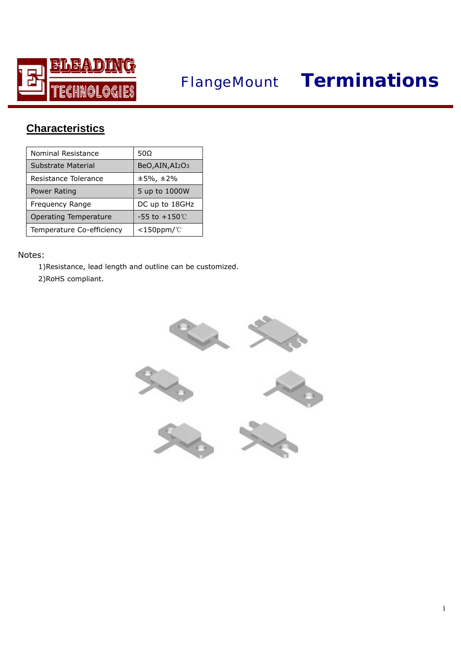

# *FlangeMount* **Terminations**

## **Characteristics**

| Nominal Resistance        | 50Ω                       |
|---------------------------|---------------------------|
| Substrate Material        | BeO, AIN, AI2O3           |
| Resistance Tolerance      | $±5\%$ , $±2\%$           |
| Power Rating              | 5 up to 1000W             |
| Frequency Range           | DC up to 18GHz            |
| Operating Temperature     | $-55$ to $+150^{\circ}$ C |
| Temperature Co-efficiency | $<$ 150ppm/ $°C$          |

### Notes:

1)Resistance, lead length and outline can be customized. 2)RoHS compliant.

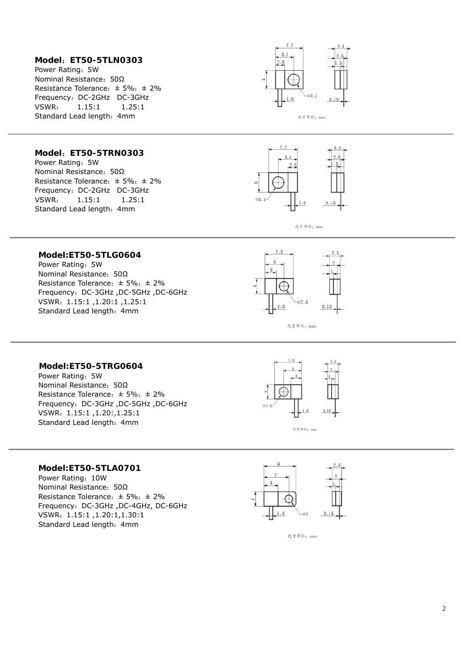#### **Model**:**ET50-5TLN0303**

**Model**:**ET50-5TRN0303** 

Resistance Tolerance:  $\pm$  5%;  $\pm$  2% Frequency: DC-2GHz DC-3GHz VSWR: 1.15:1 1.25:1 Standard Lead length: 4mm

Nominal Resistance:50Ω

Power Rating: 5W

 $\overline{a}$ 

Power Rating: 5W Nominal Resistance:50Ω Resistance Tolerance:  $\pm$  5%;  $\pm$  2% Frequency: DC-2GHz DC-3GHz VSWR: 1.15:1 1.25:1 Standard Lead length: 4mm





尺寸單位: mm

### **Model:ET50-5TLG0604**

Power Rating:5W Nominal Resistance:50Ω Resistance Tolerance:  $\pm$  5%;  $\pm$  2% Frequency:DC-3GHz ,DC-5GHz ,DC-6GHz VSWR:1.15:1 ,1.20:1 ,1.25:1 Standard Lead length: 4mm



尺寸單位: mm

#### **Model:ET50-5TRG0604**

Power Rating: 5W Nominal Resistance:50Ω Resistance Tolerance:  $\pm$  5%;  $\pm$  2% Frequency:DC-3GHz ,DC-5GHz ,DC-6GHz VSWR:1.15:1 ,1.20:,1.25:1 Standard Lead length: 4mm



#### **Model:ET50-5TLA0701**

Power Rating: 10W Nominal Resistance:50Ω Resistance Tolerance:  $\pm$  5%;  $\pm$  2% Frequency:DC-3GHz ,DC-4GHz, DC-6GHz VSWR:1.15:1 ,1.20:1,1.30:1 Standard Lead length: 4mm



尺寸單位: mm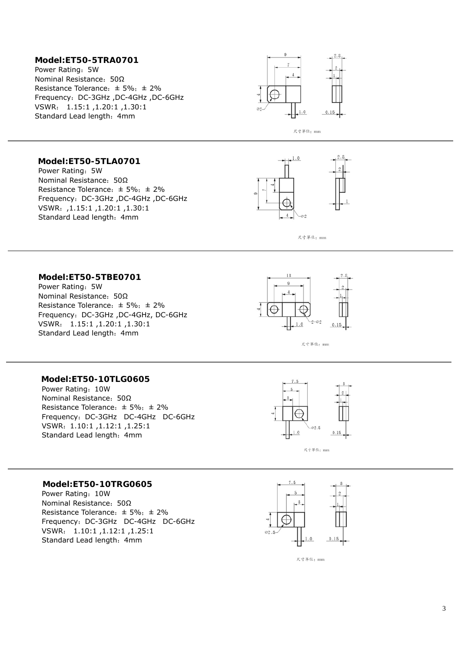#### **Model:ET50-5TRA0701**

Power Rating: 5W Nominal Resistance:50Ω Resistance Tolerance:  $\pm$  5%;  $\pm$  2% Frequency:DC-3GHz ,DC-4GHz ,DC-6GHz VSWR: 1.15:1 ,1.20:1 ,1.30:1 Standard Lead length: 4mm



尺寸單位: mm

#### **Model:ET50-5TLA0701**

Power Rating:5W Nominal Resistance:50Ω Resistance Tolerance:  $\pm$  5%;  $\pm$  2% Frequency:DC-3GHz ,DC-4GHz ,DC-6GHz VSWR:,1.15:1 ,1.20:1 ,1.30:1 Standard Lead length:4mm





#### **Model:ET50-5TBE0701**

Power Rating:5W Nominal Resistance:50Ω Resistance Tolerance:  $\pm$  5%;  $\pm$  2% Frequency:DC-3GHz ,DC-4GHz, DC-6GHz VSWR: 1.15:1 ,1.20:1 ,1.30:1 Standard Lead length: 4mm



尺寸單位: mm

#### **Model:ET50-10TLG0605**

 $\overline{a}$ 

Power Rating:10W Nominal Resistance:50Ω Resistance Tolerance:  $\pm$  5%;  $\pm$  2% Frequency: DC-3GHz DC-4GHz DC-6GHz VSWR:1.10:1 ,1.12:1 ,1.25:1 Standard Lead length: 4mm



#### **Model:ET50-10TRG0605**

Power Rating: 10W Nominal Resistance:50Ω Resistance Tolerance:  $\pm$  5%;  $\pm$  2% Frequency: DC-3GHz DC-4GHz DC-6GHz VSWR: 1.10:1 ,1.12:1 ,1.25:1 Standard Lead length: 4mm



尺寸單位: mm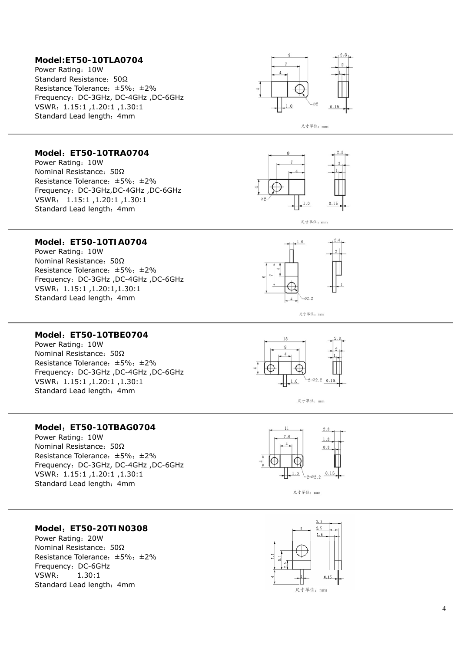#### **Model:ET50-10TLA0704**

Power Rating :10W Standard Resistance: 50Ω Resistance Tolerance: ±5%; ±2% Frequency :DC-3GHz, DC-4GHz ,DC-6GHz VSWR :1.15:1 ,1.20:1 ,1.30:1 Standard Lead length: 4mm





#### **Model** :**ET50-10TRA0704**

Power Rating :10W Nominal Resistance: 50Ω Resistance Tolerance: ±5%; ±2% Frequency :DC-3GHz,DC-4GHz ,DC-6GHz VSWR : 1.15:1 ,1.20:1 ,1.30:1 Standard Lead length: 4mm



 $1.0$ 

 $-02.2$ 

尺寸單位: mm

 $\overline{4}$ 

尺寸單位: mm

#### **Model** :**ET50-10TIA0704**

Power Rating :10W Nominal Resistance: 50Ω Resistance Tolerance :±5% ;±2% Frequency :DC-3GHz ,DC-4GHz ,DC-6GHz VSWR :1.15:1 ,1.20:1,1.30:1 Standard Lead length: 4mm

#### **Model** :**ET50-10TBE0704**

Power Rating :10W Nominal Resistance: 50Ω Resistance Tolerance :±5% ;±2% Frequency :DC-3GHz ,DC-4GHz ,DC-6GHz VSWR :1.15:1 ,1.20:1 ,1.30:1 Standard Lead length: 4mm





#### **Model** :**ET50-10TBAG0704**

Power Rating :10W Nominal Resistance: 50Ω Resistance Tolerance :±5% ;±2% Frequency :DC-3GHz, DC-4GHz ,DC-6GHz VSWR :1.15:1 ,1.20:1 ,1.30:1 Standard Lead length: 4mm





#### **Model** :**ET50-20TIN0308**

Power Rating :20W Nominal Resistance: 50Ω Resistance Tolerance :±5% ;±2% Frequency :DC-6GHz VSWR : 1.30:1 Standard Lead length: 4mm

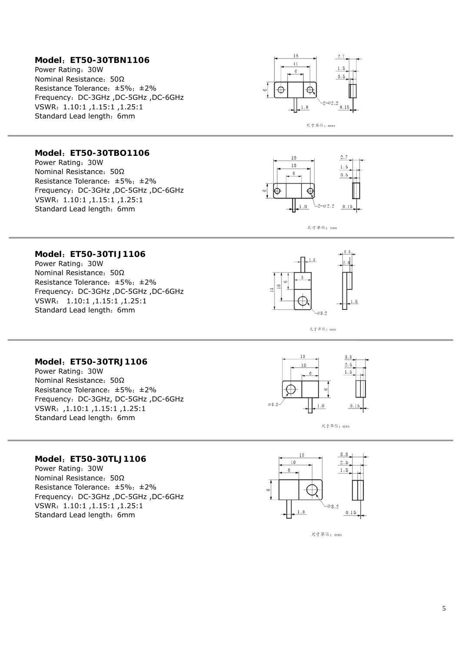#### **Model** :**ET50-30TBN1106**

Power Rating :30W Nominal Resistance: 50Ω Resistance Tolerance: ±5%; ±2% Frequency :DC-3GHz ,DC-5GHz ,DC-6GHz VSWR :1.10:1 ,1.15:1 ,1.25:1 Standard Lead length: 6mm



#### **Model** :**ET50-30TBO1106**

Power Rating :30W Nominal Resistance: 50Ω Resistance Tolerance: ±5%; ±2% Frequency :DC-3GHz ,DC-5GHz ,DC-6GHz VSWR :1.10:1 ,1.15:1 ,1.25:1 Standard Lead length: 6mm



尺寸單位: mm

#### **Model** :**ET50-30TIJ1106**

Power Rating :30W Nominal Resistance: 50Ω Resistance Tolerance: ±5%; ±2% Frequency :DC-3GHz ,DC-5GHz ,DC-6GHz VSWR : 1.10:1 ,1.15:1 ,1.25:1 Standard Lead length: 6mm



尺寸單位: mm

#### **Model** :**ET50-30TRJ1106**

Power Rating :30W Nominal Resistance: 50Ω Resistance Tolerance :±5% ;±2% Frequency :DC-3GHz, DC-5GHz ,DC-6GHz VSWR :,1.10:1 ,1.15:1 ,1.25:1 Standard Lead length: 6mm



尺寸單位: mm

#### **Model** :**ET50-30TLJ1106**

Power Rating :30W Nominal Resistance: 50Ω Resistance Tolerance :±5% ;±2% Frequency :DC-3GHz ,DC-5GHz ,DC-6GHz VSWR :1.10:1 ,1.15:1 ,1.25:1 Standard Lead length: 6mm



尺寸單位: mm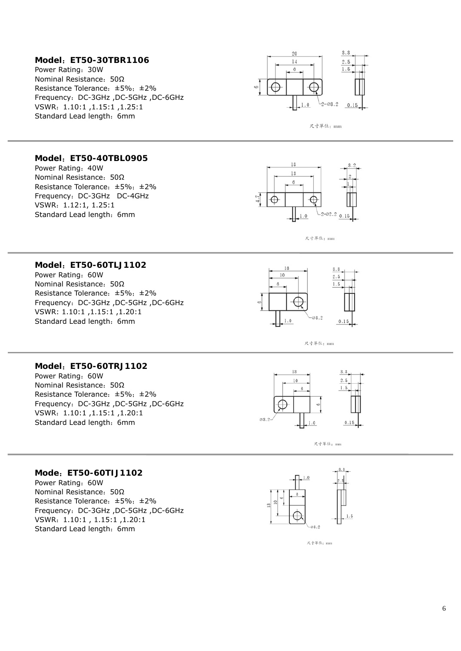#### **Model** :**ET50-30TBR1106**

Power Rating :30W Nominal Resistance: 50Ω Resistance Tolerance: ±5%; ±2% Frequency :DC-3GHz ,DC-5GHz ,DC-6GHz VSWR :1.10:1 ,1.15:1 ,1.25:1 Standard Lead length: 6mm





#### **Model** :**ET50-40TBL0905**

Power Rating: 40W Nominal Resistance: 50Ω Resistance Tolerance :±5% ;±2% Frequency :DC-3GHz DC-4GHz VSWR :1.12:1, 1.25:1 Standard Lead length: 6mm





#### **Model** :**ET50-60TLJ1102**

Power Rating :60W Nominal Resistance: 50Ω Resistance Tolerance :±5% ;±2% Frequency :DC-3GHz ,DC-5GHz ,DC-6GHz VSWR: 1.10:1 ,1.15:1 ,1.20:1 Standard Lead length: 6mm





#### **Model** :**ET50-60TRJ1102**

Power Rating :60W Nominal Resistance: 50Ω Resistance Tolerance :±5% ;±2% Frequency :DC-3GHz ,DC-5GHz ,DC-6GHz VSWR :1.10:1 ,1.15:1 ,1.20:1 Standard Lead length: 6mm



尺寸單位: mm

#### **Mode** :**ET50-60TIJ1102**

Power Rating :60W Nominal Resistance: 50Ω Resistance Tolerance :±5% ;±2% Frequency :DC-3GHz ,DC-5GHz ,DC-6GHz VSWR :1.10:1 , 1.15:1 ,1.20:1 Standard Lead length: 6mm

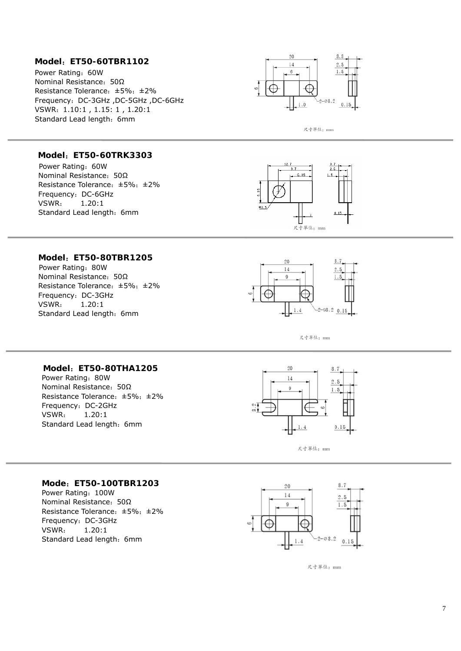#### **Model** :**ET50-60TBR1102**

Power Rating :60W Nominal Resistance: 50Ω Resistance Tolerance :±5% ;±2% Frequency :DC-3GHz ,DC-5GHz ,DC-6GHz VSWR :1.10:1 , 1.15: 1 , 1.20:1 Standard Lead length: 6mm



尺寸單位: mm

#### **Model** :**ET50-60TRK3303**

Ĩ

Power Rating :60W Nominal Resistance: 50Ω Resistance Tolerance :±5% ;±2% Frequency :DC-6GHz VSWR : 1.20:1 Standard Lead length: 6mm



#### **Model** :**ET50-80TBR1205**

Power Rating: 80W Nominal Resistance: 50Ω Resistance Tolerance :±5% ;±2% Frequency :DC-3GHz VSWR : 1.20:1 Standard Lead length: 6mm



尺寸單位: mm

#### **Model** :**ET50-80THA1205**

Power Rating: 80W Nominal Resistance: 50Ω Resistance Tolerance :±5% ;±2% Frequency :DC-2GHz VSWR : 1.20:1 Standard Lead length: 6mm





#### **Mode** :**ET50-100TBR1203**

Power Rating :100W Nominal Resistance: 50Ω Resistance Tolerance :±5% ;±2% Frequency :DC-3GHz VSWR : 1.20:1 Standard Lead length: 6mm



尺寸單位: mm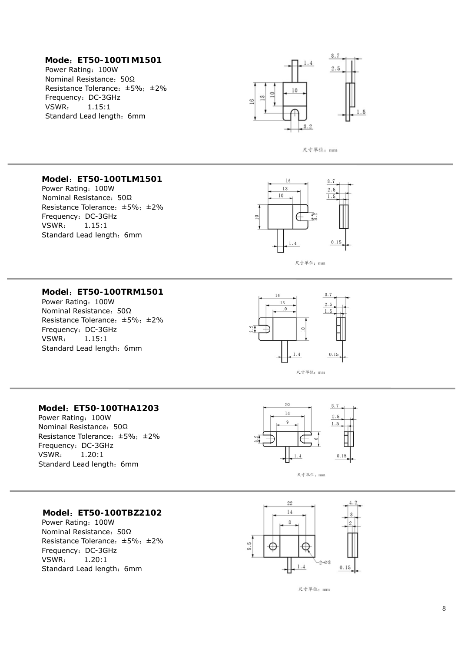#### **Mode** :**ET50-100TIM1501**

Power Rating: 100W Nominal Resistance: 50Ω Resistance Tolerance: ±5%; ±2% Frequency :DC-3GHz VSWR : 1.15:1 Standard Lead length: 6mm





#### **Model** :**ET50-100TLM1501**

Power Rating :100W Nominal Resistance: 50Ω Resistance Tolerance :±5% ;±2% Frequency :DC-3GHz VSWR : 1.15:1 Standard Lead length: 6mm



尺寸單位: mm

#### **Model** :**ET50-100TRM1501**

Power Rating :100W Nominal Resistance: 50Ω Resistance Tolerance :±5% ;±2% Frequency :DC-3GHz VSWR : 1.15:1 Standard Lead length: 6mm



#### **Model** :**ET50-100THA1203**

Power Rating: 100W Nominal Resistance: 50Ω Resistance Tolerance :±5% ;±2% Frequency :DC-3GHz VSWR : 1.20:1 Standard Lead length: 6mm





#### **Model** :**ET50-100TBZ2102**

Power Rating: 100W Nominal Resistance: 50Ω Resistance Tolerance: ±5%; ±2% Frequency :DC-3GHz VSWR : 1.20:1 Standard Lead length: 6mm



尺寸單位: mm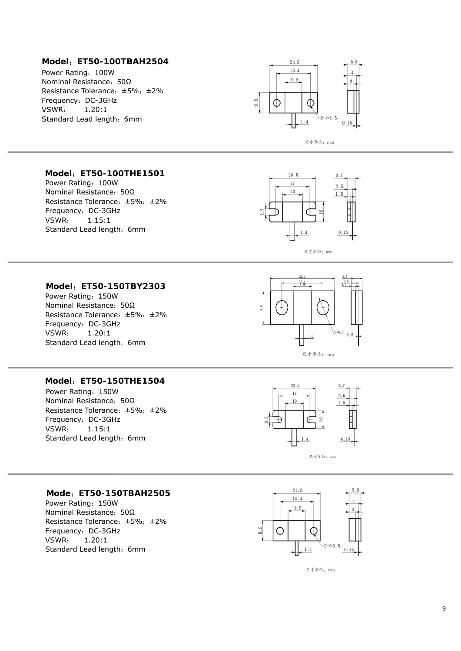#### **Model** :**ET50-100TBAH2504**

Power Rating :100W Nominal Resistance: 50Ω Resistance Tolerance :±5% ;±2% Frequency :DC-3GHz VSWR : 1.20:1 Standard Lead length: 6mm





#### **Model** :**ET50-100THE1501**

Power Rating :100W Nominal Resistance: 50Ω Resistance Tolerance :±5% ;±2% Frequency :DC-3GHz VSWR : 1.15:1 Standard Lead length: 6mm



#### **Model** :**ET50-150TBY2303**

Power Rating :150W Nominal Resistance: 50Ω Resistance Tolerance: ±5%; ±2% Frequency :DC-3GHz VSWR : 1.20:1 Standard Lead length: 6mm



#### **Model** :**ET50-150THE1504**

Power Rating :150W Nominal Resistance: 50Ω Resistance Tolerance :±5% ;±2% Frequency :DC-3GHz VSWR : 1.15:1 Standard Lead length: 6mm



#### **Mode** :**ET50-150TBAH2505**

Power Rating :150W Nominal Resistance: 50Ω Resistance Tolerance :±5% ;±2% Frequency :DC-3GHz VSWR : 1.20:1 Standard Lead length: 6mm



尺寸單位: mm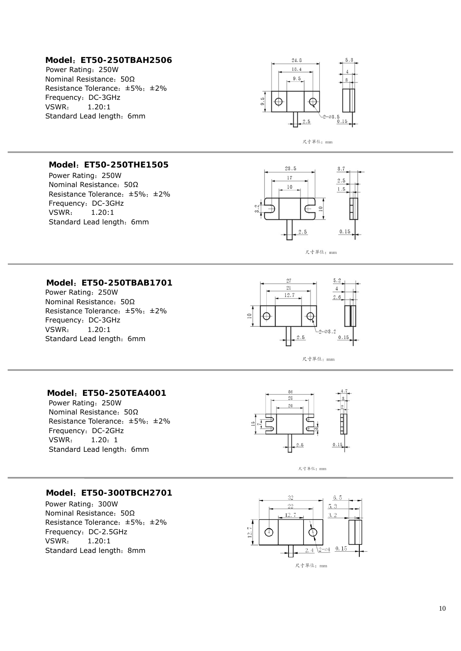#### **Model**:**ET50-250TBAH2506**

Power Rating:250W Nominal Resistance:50Ω Resistance Tolerance:±5%;±2% Frequency: DC-3GHz VSWR: 1.20:1 Standard Lead length: 6mm



尺寸單位: mm

### **Model**:**ET50-250THE1505**

Power Rating:250W Nominal Resistance:50Ω Resistance Tolerance:±5%;±2% Frequency: DC-3GHz VSWR: 1.20:1 Standard Lead length: 6mm



#### **Model**:**ET50-250TBAB1701**

Power Rating:250W Nominal Resistance:50Ω Resistance Tolerance:±5%;±2% Frequency: DC-3GHz VSWR: 1.20:1 Standard Lead length: 6mm





#### **Model**:**ET50-250TEA4001**

Power Rating:250W Nominal Resistance:50Ω Resistance Tolerance:±5%;±2% Frequency: DC-2GHz VSWR: 1.20:1 Standard Lead length: 6mm



尺寸單位: mm

#### **Model**:**ET50-300TBCH2701**

Power Rating:300W Nominal Resistance:50Ω Resistance Tolerance:±5%;±2% Frequency: DC-2.5GHz VSWR: 1.20:1 Standard Lead length: 8mm

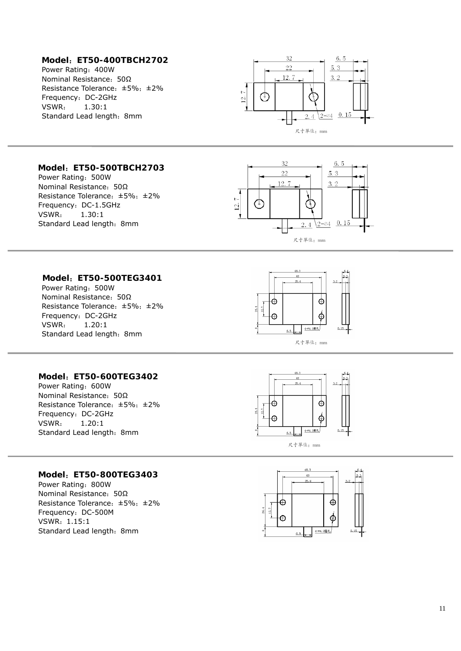#### **Model** :**ET50-400TBCH2702**

Power Rating: 400W Nominal Resistance: 50Ω Resistance Tolerance: ±5%; ±2% Frequency :DC-2GHz VSWR : 1.30:1 Standard Lead length: 8mm



#### **Model** :**ET50-500TBCH2703**

Power Rating: 500W Nominal Resistance: 50Ω Resistance Tolerance :±5% ;±2% Frequency :DC-1.5GHz VSWR : 1.30:1 Standard Lead length: 8mm



#### **Model** :**ET50-500TEG3401**

Power Rating: 500W Nominal Resistance: 50Ω Resistance Tolerance :±5% ;±2% Frequency :DC-2GHz VSWR : 1.20:1 Standard Lead length: 8mm



#### **Model** :**ET50-600TEG3402**

Power Rating: 600W Nominal Resistance: 50Ω Resistance Tolerance :±5% ;±2% Frequency :DC-2GHz VSWR : 1.20:1 Standard Lead length: 8mm





#### **Model** :**ET50-800TEG3403**

Power Rating: 800W Nominal Resistance: 50Ω Resistance Tolerance :±5% ;±2% Frequency :DC-500M VSWR :1.15:1 Standard Lead length: 8mm